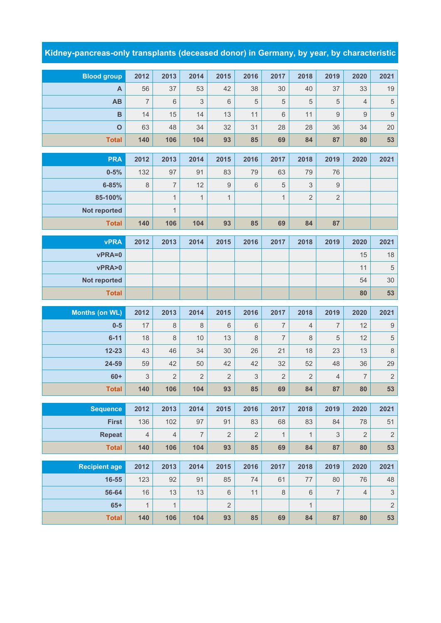## **Kidney-pancreas-only transplants (deceased donor) in Germany, by year, by characteristic**

| <b>Blood group</b>    | 2012           | 2013               | 2014           | 2015             | 2016        | 2017                   | 2018                      | 2019                     | 2020           | 2021                      |
|-----------------------|----------------|--------------------|----------------|------------------|-------------|------------------------|---------------------------|--------------------------|----------------|---------------------------|
| A                     | 56             | 37                 | 53             | 42               | 38          | 30                     | 40                        | 37                       | 33             | 19                        |
| AB                    | $\overline{7}$ | $6\phantom{1}$     | 3              | 6                | 5           | 5                      | 5                         | 5                        | $\overline{4}$ | $\,$ 5 $\,$               |
| $\mathbf B$           | 14             | 15                 | 14             | 13               | 11          | 6                      | 11                        | $\boldsymbol{9}$         | $\hbox{9}$     | $\overline{9}$            |
| $\mathbf{o}$          | 63             | 48                 | 34             | 32               | 31          | 28                     | 28                        | 36                       | 34             | 20                        |
| <b>Total</b>          | 140            | 106                | 104            | 93               | 85          | 69                     | 84                        | 87                       | 80             | 53                        |
| <b>PRA</b>            | 2012           | 2013               | 2014           | 2015             | 2016        | 2017                   | 2018                      | 2019                     | 2020           | 2021                      |
| $0 - 5%$              | 132            | 97                 | 91             | 83               | 79          | 63                     | 79                        | 76                       |                |                           |
| $6 - 85%$             | $\,8\,$        | 7                  | 12             | $\boldsymbol{9}$ | 6           | $\sqrt{5}$             | $\ensuremath{\mathsf{3}}$ | 9                        |                |                           |
| 85-100%               |                | $\mathbf{1}$       | $\mathbf{1}$   | $\mathbf{1}$     |             | $\mathbf{1}$           | $\overline{2}$            | $\overline{2}$           |                |                           |
| <b>Not reported</b>   |                | $\mathbf{1}$       |                |                  |             |                        |                           |                          |                |                           |
| <b>Total</b>          | 140            | 106                | 104            | 93               | 85          | 69                     | 84                        | 87                       |                |                           |
| <b>vPRA</b>           | 2012           | 2013               | 2014           | 2015             | 2016        | 2017                   | 2018                      | 2019                     | 2020           | 2021                      |
| vPRA=0                |                |                    |                |                  |             |                        |                           |                          | 15             | 18                        |
| vPRA>0                |                |                    |                |                  |             |                        |                           |                          | 11             | $\sqrt{5}$                |
| <b>Not reported</b>   |                |                    |                |                  |             |                        |                           |                          | 54             | 30                        |
| <b>Total</b>          |                |                    |                |                  |             |                        |                           |                          | 80             | 53                        |
|                       |                |                    |                |                  |             |                        |                           |                          |                |                           |
|                       |                |                    |                |                  |             |                        |                           |                          |                |                           |
| <b>Months (on WL)</b> | 2012           | 2013               | 2014           | 2015<br>6        | 2016        | 2017<br>$\overline{7}$ | 2018                      | 2019<br>$\overline{7}$   | 2020           | 2021                      |
| $0-5$<br>$6 - 11$     | 17<br>18       | $\,8\,$<br>$\,8\,$ | $\,8\,$<br>10  | 13               | 6<br>8      | $\overline{7}$         | $\sqrt{4}$<br>$\,8\,$     | 5                        | 12<br>12       | $\boldsymbol{9}$          |
| $12 - 23$             | 43             | 46                 | 34             | 30               | 26          | 21                     | 18                        | 23                       | 13             | $\,$ 5 $\,$               |
| 24-59                 | 59             | 42                 | 50             | 42               | 42          | 32                     | 52                        | 48                       | 36             | $\,8\,$<br>29             |
| $60+$                 | 3              | $\overline{2}$     | $\overline{2}$ | $\overline{2}$   | $\mathsf 3$ | $\overline{2}$         | $\overline{2}$            | 4                        | $\overline{7}$ | $\sqrt{2}$                |
| <b>Total</b>          | 140            | 106                | 104            | 93               | 85          | 69                     | 84                        | 87                       | 80             | 53                        |
|                       |                |                    |                |                  |             |                        |                           |                          |                |                           |
| <b>Sequence</b>       | 2012           | 2013               | 2014           | 2015             | 2016        | 2017                   | 2018                      | 2019                     | 2020           | 2021                      |
| <b>First</b>          | 136            | 102                | 97             | 91               | 83          | 68                     | 83                        | 84                       | 78             | 51                        |
| <b>Repeat</b>         | $\sqrt{4}$     | $\overline{4}$     | $\overline{7}$ | $\overline{2}$   | $\mathbf 2$ | $\mathbf{1}$           | $\mathbf{1}$              | 3                        | $\overline{2}$ | $\sqrt{2}$                |
| <b>Total</b>          | 140            | 106                | 104            | 93               | 85          | 69                     | 84                        | 87                       | 80             | 53                        |
| <b>Recipient age</b>  | 2012           | 2013               | 2014           | 2015             | 2016        | 2017                   | 2018                      | 2019                     | 2020           | 2021                      |
| 16-55                 | 123            | 92                 | 91             | 85               | 74          | 61                     | $77\,$                    | 80                       | 76             | 48                        |
| 56-64                 | 16             | 13                 | 13             | $\,6\,$          | 11          | 8                      | $\,6\,$                   | $\overline{\mathcal{I}}$ | $\overline{4}$ | $\ensuremath{\mathsf{3}}$ |
| $65+$                 | $\mathbf{1}$   | $\mathbf{1}$       |                | $\overline{2}$   |             |                        | $\mathbf{1}$              |                          |                | $\sqrt{2}$                |